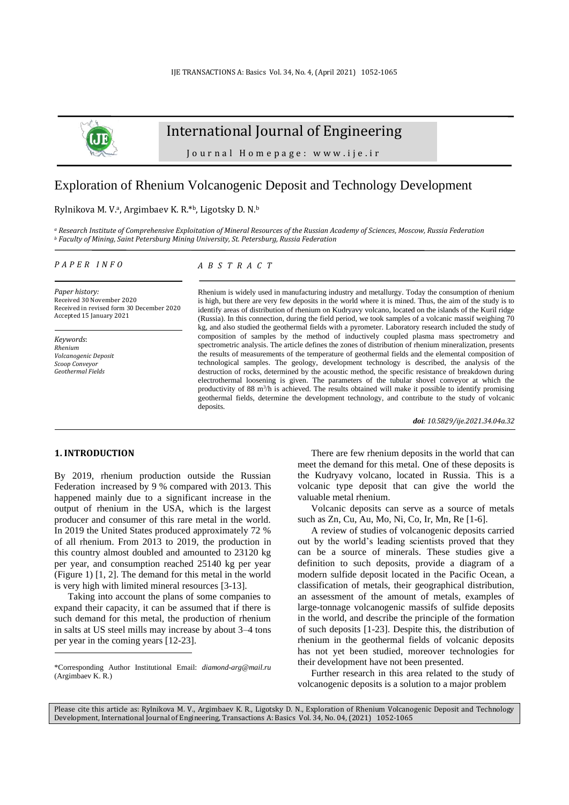

# International Journal of Engineering

Journal Homepage: www.ije.ir

## Exploration of Rhenium Volcanogenic Deposit and Technology Development

#### Rylnikova M. V.<sup>a</sup>, Argimbaev K. R.<sup>\*b</sup>, Ligotsky D. N.<sup>b</sup>

*<sup>a</sup> Research Institute of Comprehensive Exploitation of Mineral Resources of the Russian Academy of Sciences, Moscow, Russia Federation <sup>b</sup> Faculty of Mining, Saint Petersburg Mining University, St. Petersburg, Russia Federation*

#### *P A P E R I N F O*

*Paper history:* Received 30 November 2020 Received in revised form 30 December 2020 Accepted 15 January 2021

*Keywords*: *Rhenium Volcanogenic Deposit Scoop Conveyor Geothermal Fields*

## *A B S T R A C T*

Rhenium is widely used in manufacturing industry and metallurgy. Today the consumption of rhenium is high, but there are very few deposits in the world where it is mined. Thus, the aim of the study is to identify areas of distribution of rhenium on Kudryavy volcano, located on the islands of the Kuril ridge (Russia). In this connection, during the field period, we took samples of a volcanic massif weighing 70 kg, and also studied the geothermal fields with a pyrometer. Laboratory research included the study of composition of samples by the method of inductively coupled plasma mass spectrometry and spectrometric analysis. The article defines the zones of distribution of rhenium mineralization, presents the results of measurements of the temperature of geothermal fields and the elemental composition of technological samples. The geology, development technology is described, the analysis of the destruction of rocks, determined by the acoustic method, the specific resistance of breakdown during electrothermal loosening is given. The parameters of the tubular shovel conveyor at which the productivity of 88  $m<sup>3</sup>/h$  is achieved. The results obtained will make it possible to identify promising geothermal fields, determine the development technology, and contribute to the study of volcanic deposits.

*doi: 10.5829/ije.2021.34.04a.32*

#### **1. INTRODUCTION<sup>1</sup>**

By 2019, rhenium production outside the Russian Federation increased by 9 % compared with 2013. This happened mainly due to a significant increase in the output of rhenium in the USA, which is the largest producer and consumer of this rare metal in the world. In 2019 the United States produced approximately 72 % of all rhenium. From 2013 to 2019, the production in this country almost doubled and amounted to 23120 kg per year, and consumption reached 25140 kg per year (Figure 1) [1, 2]. The demand for this metal in the world is very high with limited mineral resources [3-13].

Taking into account the plans of some companies to expand their capacity, it can be assumed that if there is such demand for this metal, the production of rhenium in salts at US steel mills may increase by about 3–4 tons per year in the coming years [12-23].

There are few rhenium deposits in the world that can meet the demand for this metal. One of these deposits is the Kudryavy volcano, located in Russia. This is a volcanic type deposit that can give the world the valuable metal rhenium.

Volcanic deposits can serve as a source of metals such as Zn, Cu, Au, Mo, Ni, Co, Ir, Mn, Re [1-6].

A review of studies of volcanogenic deposits carried out by the world's leading scientists proved that they can be a source of minerals. These studies give a definition to such deposits, provide a diagram of a modern sulfide deposit located in the Pacific Ocean, a classification of metals, their geographical distribution, an assessment of the amount of metals, examples of large-tonnage volcanogenic massifs of sulfide deposits in the world, and describe the principle of the formation of such deposits [1-23]. Despite this, the distribution of rhenium in the geothermal fields of volcanic deposits has not yet been studied, moreover technologies for their development have not been presented.

Further research in this area related to the study of volcanogenic deposits is a solution to a major problem

Please cite this article as: Rylnikova M. V., Argimbaev K. R., Ligotsky D. N., Exploration of Rhenium Volcanogenic Deposit and Technology Development, International Journal of Engineering, Transactions A: Basics Vol. 34, No. 04, (2021) 1052-1065

<sup>\*</sup>Corresponding Author Institutional Email: *[diamond-arg@mail.ru](mailto:diamond-arg@mail.ru)* (Argimbaev K. R.)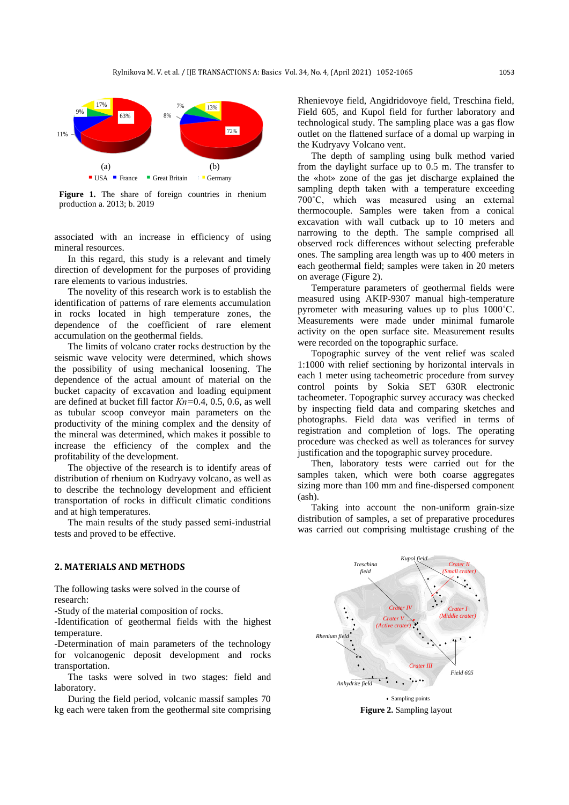

Figure 1. The share of foreign countries in rhenium production a. 2013; b. 2019

associated with an increase in efficiency of using mineral resources.

In this regard, this study is a relevant and timely direction of development for the purposes of providing rare elements to various industries.

The novelity of this research work is to establish the identification of patterns of rare elements accumulation in rocks located in high temperature zones, the dependence of the coefficient of rare element accumulation on the geothermal fields.

The limits of volcano crater rocks destruction by the seismic wave velocity were determined, which shows the possibility of using mechanical loosening. The dependence of the actual amount of material on the bucket capacity of excavation and loading equipment are defined at bucket fill factor *Кn=*0.4, 0.5, 0.6, as well as tubular scoop conveyor main parameters on the productivity of the mining complex and the density of the mineral was determined, which makes it possible to increase the efficiency of the complex and the profitability of the development.

The objective of the research is to identify areas of distribution of rhenium on Kudryavy volcano, as well as to describe the technology development and efficient transportation of rocks in difficult climatic conditions and at high temperatures.

The main results of the study passed semi-industrial tests and proved to be effective.

#### **2. MATERIALS AND METHODS**

The following tasks were solved in the course of research:

-Study of the material composition of rocks.

-Identification of geothermal fields with the highest temperature.

-Determination of main parameters of the technology for volcanogenic deposit development and rocks transportation.

The tasks were solved in two stages: field and laboratory.

During the field period, volcanic massif samples 70 kg each were taken from the geothermal site comprising

 $7\%$   $13\%$   $13\%$   $11\%$   $12\%$   $13\%$   $14\%$   $14\%$   $14\%$   $14\%$   $14\%$   $14\%$ **12%** outlet on the flattened surface of a domal up warping in <sup>13%</sup> Field 605, and Kupol field for further laboratory and **technological study.** The sampling place was a gas flow Rhenievoye field, Angidridovoye field, Treschina field, the Kudryavy Volcano vent.

(a)  $\qquad$  (b)  $\qquad$  from the daylight surface up to 0.5 m. The transfer to USA France Great Britain Germany the «hot» zone of the gas jet discharge explained the The depth of sampling using bulk method varied sampling depth taken with a temperature exceeding 700°C, which was measured using an external thermocouple. Samples were taken from a conical excavation with wall cutback up to 10 meters and narrowing to the depth. The sample comprised all observed rock differences without selecting preferable ones. The sampling area length was up to 400 meters in each geothermal field; samples were taken in 20 meters on average (Figure 2).

> Temperature parameters of geothermal fields were measured using AKIP-9307 manual high-temperature pyrometer with measuring values up to plus 1000˚С. Measurements were made under minimal fumarole activity on the open surface site. Measurement results were recorded on the topographic surface.

> Topographic survey of the vent relief was scaled 1:1000 with relief sectioning by horizontal intervals in each 1 meter using tacheometric procedure from survey control points by Sokia SET 630R electronic tacheometer. Topographic survey accuracy was checked by inspecting field data and comparing sketches and photographs. Field data was verified in terms of registration and completion of logs. The operating procedure was checked as well as tolerances for survey justification and the topographic survey procedure.

> Then, laboratory tests were carried out for the samples taken, which were both coarse aggregates sizing more than 100 mm and fine-dispersed component (ash).

> Taking into account the non-uniform grain-size distribution of samples, a set of preparative procedures was carried out comprising multistage crushing of the



**Figure 2.** Sampling layout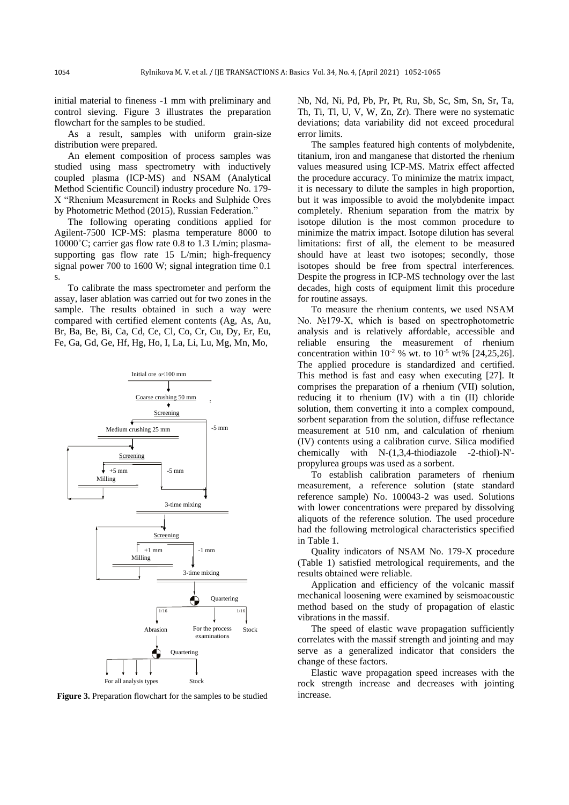initial material to fineness -1 mm with preliminary and control sieving. Figure 3 illustrates the preparation flowchart for the samples to be studied.

As a result, samples with uniform grain-size distribution were prepared.

An element composition of process samples was studied using mass spectrometry with inductively coupled plasma (ICP-MS) and NSAM (Analytical Method Scientific Council) industry procedure No. 179- X "Rhenium Measurement in Rocks and Sulphide Ores by Photometric Method (2015), Russian Federation."

The following operating conditions applied for Agilent-7500 ICP-MS: plasma temperature 8000 to 10000˚С; carrier gas flow rate 0.8 to 1.3 L/min; plasmasupporting gas flow rate 15 L/min; high-frequency signal power 700 to 1600 W; signal integration time 0.1 s.

To calibrate the mass spectrometer and perform the assay, laser ablation was carried out for two zones in the sample. The results obtained in such a way were compared with certified element contents (Ag, As, Au, Br, Ba, Be, Bi, Ca, Cd, Ce, Cl, Co, Cr, Cu, Dy, Er, Eu, Fe, Ga, Gd, Ge, Hf, Hg, Ho, I, La, Li, Lu, Mg, Mn, Mo,



**Figure 3.** Preparation flowchart for the samples to be studied

Nb, Nd, Ni, Pd, Pb, Pr, Pt, Ru, Sb, Sc, Sm, Sn, Sr, Ta, Th, Ti, Tl, U, V, W, Zn, Zr). There were no systematic deviations; data variability did not exceed procedural error limits.

The samples featured high contents of molybdenite, titanium, iron and manganese that distorted the rhenium values measured using ICP-MS. Matrix effect affected the procedure accuracy. To minimize the matrix impact, it is necessary to dilute the samples in high proportion, but it was impossible to avoid the molybdenite impact completely. Rhenium separation from the matrix by isotope dilution is the most common procedure to minimize the matrix impact. Isotope dilution has several limitations: first of all, the element to be measured should have at least two isotopes; secondly, those isotopes should be free from spectral interferences. Despite the progress in ICP-MS technology over the last decades, high costs of equipment limit this procedure for routine assays.

To measure the rhenium contents, we used NSAM No. №179-Х, which is based on spectrophotometric analysis and is relatively affordable, accessible and reliable ensuring the measurement of rhenium concentration within  $10^{-2}$  % wt. to  $10^{-5}$  wt% [24,25,26]. The applied procedure is standardized and certified. This method is fast and easy when executing [27]. It comprises the preparation of a rhenium (VII) solution, reducing it to rhenium (IV) with a tin (II) chloride solution, them converting it into a complex compound, sorbent separation from the solution, diffuse reflectance measurement at 510 nm, and calculation of rhenium (IV) contents using a calibration curve. Silica modified chemically with N-(1,3,4-thiodiazole -2-thiol)-N' propylurea groups was used as a sorbent.

To establish calibration parameters of rhenium measurement, a reference solution (state standard reference sample) No. 100043-2 was used. Solutions with lower concentrations were prepared by dissolving aliquots of the reference solution. The used procedure had the following metrological characteristics specified in Table 1.

Quality indicators of NSAM No. 179-Х procedure (Table 1) satisfied metrological requirements, and the results obtained were reliable.

Application and efficiency of the volcanic massif mechanical loosening were examined by seismoacoustic method based on the study of propagation of elastic vibrations in the massif.

The speed of elastic wave propagation sufficiently correlates with the massif strength and jointing and may serve as a generalized indicator that considers the change of these factors.

Elastic wave propagation speed increases with the rock strength increase and decreases with jointing increase.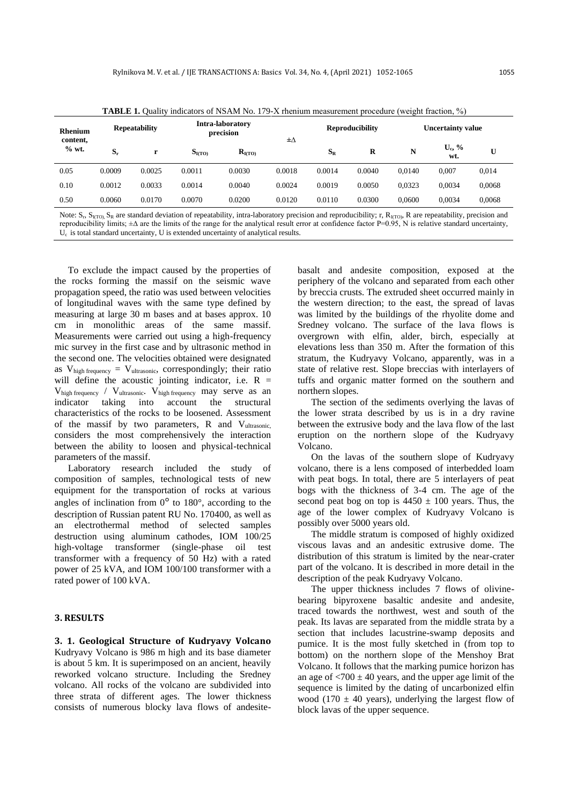| <b>Rhenium</b><br>content,<br>$%$ wt. | <b>Repeatability</b> |        | <b>TABLE 1.</b> Ouality indicators of NSAM No. $1/9$ -X rhenium measurement procedure (weight fraction, $\%$ )<br>Intra-laboratory<br>precision |                    | $\pm \Delta$ | <b>Reproducibility</b> |        | <b>Uncertainty value</b> |                  |        |
|---------------------------------------|----------------------|--------|-------------------------------------------------------------------------------------------------------------------------------------------------|--------------------|--------------|------------------------|--------|--------------------------|------------------|--------|
|                                       | $S_r$                | r      | S <sub>I(TO)</sub>                                                                                                                              | $R_{\text{I(TO)}}$ |              | $S_{R}$                | R      | N                        | $U_c$ , %<br>wt. | U      |
| 0.05                                  | 0.0009               | 0.0025 | 0.0011                                                                                                                                          | 0.0030             | 0.0018       | 0.0014                 | 0.0040 | 0.0140                   | 0.007            | 0.014  |
| 0.10                                  | 0.0012               | 0.0033 | 0.0014                                                                                                                                          | 0.0040             | 0.0024       | 0.0019                 | 0.0050 | 0.0323                   | 0.0034           | 0,0068 |
| 0.50                                  | 0.0060               | 0.0170 | 0.0070                                                                                                                                          | 0.0200             | 0.0120       | 0.0110                 | 0.0300 | 0.0600                   | 0.0034           | 0,0068 |

**TABLE 1.** Quality indicators of NSAM No. 179-Х rhenium measurement procedure (weight fraction, %)

Note:  $S_r$ ,  $S_{\text{I(TO)}$ ,  $S_R$  are standard deviation of repeatability, intra-laboratory precision and reproducibility; r,  $R_{\text{I(TO)}}$ , R are repeatability, precision and reproducibility limits; ±∆ are the limits of the range for the analytical result error at confidence factor P=0.95, N is relative standard uncertainty, U<sub>c</sub> is total standard uncertainty, U is extended uncertainty of analytical results.

To exclude the impact caused by the properties of the rocks forming the massif on the seismic wave propagation speed, the ratio was used between velocities of longitudinal waves with the same type defined by measuring at large 30 m bases and at bases approx. 10 cm in monolithic areas of the same massif. Measurements were carried out using a high-frequency mic survey in the first case and by ultrasonic method in the second one. The velocities obtained were designated as  $V_{\text{high frequency}} = V_{\text{ultrasonic}}$ , correspondingly; their ratio will define the acoustic jointing indicator, i.e.  $R =$  $V_{\text{high frequency}}$  /  $V_{\text{ultrasonic}}$ .  $V_{\text{high frequency}}$  may serve as an indicator taking into account the structural characteristics of the rocks to be loosened. Assessment of the massif by two parameters,  $R$  and  $V_{\text{ultrasonic}}$ considers the most comprehensively the interaction between the ability to loosen and physical-technical parameters of the massif.

Laboratory research included the study of composition of samples, technological tests of new equipment for the transportation of rocks at various angles of inclination from  $0^{\circ}$  to 180°, according to the description of Russian patent RU No. 170400, as well as an electrothermal method of selected samples destruction using aluminum cathodes, IOM 100/25 high-voltage transformer (single-phase oil test transformer with a frequency of 50 Hz) with a rated power of 25 kVA, and IOM 100/100 transformer with a rated power of 100 kVA.

#### **3. RESULTS**

**3. 1. Geological Structure of Kudryavy Volcano** Kudryavy Volcano is 986 m high and its base diameter is about 5 km. It is superimposed on an ancient, heavily reworked volcano structure. Including the Sredney volcano. All rocks of the volcano are subdivided into three strata of different ages. The lower thickness consists of numerous blocky lava flows of andesitebasalt and andesite composition, exposed at the periphery of the volcano and separated from each other by breccia crusts. The extruded sheet occurred mainly in the western direction; to the east, the spread of lavas was limited by the buildings of the rhyolite dome and Sredney volcano. The surface of the lava flows is overgrown with elfin, alder, birch, especially at elevations less than 350 m. After the formation of this stratum, the Kudryavy Volcano, apparently, was in a state of relative rest. Slope breccias with interlayers of tuffs and organic matter formed on the southern and northern slopes.

The section of the sediments overlying the lavas of the lower strata described by us is in a dry ravine between the extrusive body and the lava flow of the last eruption on the northern slope of the Kudryavy Volcano.

On the lavas of the southern slope of Kudryavy volcano, there is a lens composed of interbedded loam with peat bogs. In total, there are 5 interlayers of peat bogs with the thickness of 3-4 cm. The age of the second peat bog on top is  $4450 \pm 100$  years. Thus, the age of the lower complex of Kudryavy Volcano is possibly over 5000 years old.

The middle stratum is composed of highly oxidized viscous lavas and an andesitic extrusive dome. The distribution of this stratum is limited by the near-crater part of the volcano. It is described in more detail in the description of the peak Kudryavy Volcano.

The upper thickness includes 7 flows of olivinebearing bipyroxene basaltic andesite and andesite, traced towards the northwest, west and south of the peak. Its lavas are separated from the middle strata by a section that includes lacustrine-swamp deposits and pumice. It is the most fully sketched in (from top to bottom) on the northern slope of the Menshoy Brat Volcano. It follows that the marking pumice horizon has an age of  $\langle 700 \pm 40 \rangle$  years, and the upper age limit of the sequence is limited by the dating of uncarbonized elfin wood (170  $\pm$  40 years), underlying the largest flow of block lavas of the upper sequence.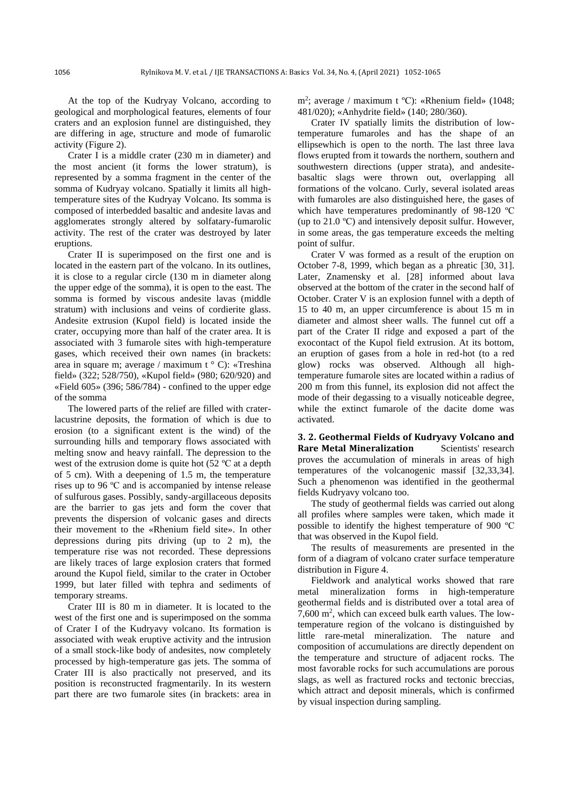At the top of the Kudryay Volcano, according to geological and morphological features, elements of four craters and an explosion funnel are distinguished, they are differing in age, structure and mode of fumarolic activity (Figure 2).

Crater I is a middle crater (230 m in diameter) and the most ancient (it forms the lower stratum), is represented by a somma fragment in the center of the somma of Kudryay volcano. Spatially it limits all hightemperature sites of the Kudryay Volcano. Its somma is composed of interbedded basaltic and andesite lavas and agglomerates strongly altered by solfatary-fumarolic activity. The rest of the crater was destroyed by later eruptions.

Crater II is superimposed on the first one and is located in the eastern part of the volcano. In its outlines, it is close to a regular circle (130 m in diameter along the upper edge of the somma), it is open to the east. The somma is formed by viscous andesite lavas (middle stratum) with inclusions and veins of cordierite glass. Andesite extrusion (Kupol field) is located inside the crater, occupying more than half of the crater area. It is associated with 3 fumarole sites with high-temperature gases, which received their own names (in brackets: area in square m; average / maximum t ° C): «Treshina field» (322; 528/750), «Kupol field» (980; 620/920) and «Field  $605$ » (396; 586/784) - confined to the upper edge of the somma

The lowered parts of the relief are filled with craterlacustrine deposits, the formation of which is due to erosion (to a significant extent is the wind) of the surrounding hills and temporary flows associated with melting snow and heavy rainfall. The depression to the west of the extrusion dome is quite hot (52 °C at a depth of 5 cm). With a deepening of 1.5 m, the temperature rises up to 96 ºС and is accompanied by intense release of sulfurous gases. Possibly, sandy-argillaceous deposits are the barrier to gas jets and form the cover that prevents the dispersion of volcanic gases and directs their movement to the «Rhenium field site». In other depressions during pits driving (up to 2 m), the temperature rise was not recorded. These depressions are likely traces of large explosion craters that formed around the Kupol field, similar to the crater in October 1999, but later filled with tephra and sediments of temporary streams.

Crater III is 80 m in diameter. It is located to the west of the first one and is superimposed on the somma of Crater I of the Kudryavy volcano. Its formation is associated with weak eruptive activity and the intrusion of a small stock-like body of andesites, now completely processed by high-temperature gas jets. The somma of Crater III is also practically not preserved, and its position is reconstructed fragmentarily. In its western part there are two fumarole sites (in brackets: area in

m<sup>2</sup>; average / maximum t °C): «Rhenium field» (1048; 481/020); «Anhydrite field» (140; 280/360).

Crater IV spatially limits the distribution of lowtemperature fumaroles and has the shape of an ellipsewhich is open to the north. The last three lava flows erupted from it towards the northern, southern and southwestern directions (upper strata), and andesitebasaltic slags were thrown out, overlapping all formations of the volcano. Curly, several isolated areas with fumaroles are also distinguished here, the gases of which have temperatures predominantly of 98-120 °C (up to 21.0 ºС) and intensively deposit sulfur. However, in some areas, the gas temperature exceeds the melting point of sulfur.

Crater V was formed as a result of the eruption on October 7-8, 1999, which began as a phreatic [30, 31]. Later, Znamensky et al. [28] informed about lava observed at the bottom of the crater in the second half of October. Crater V is an explosion funnel with a depth of 15 to 40 m, an upper circumference is about 15 m in diameter and almost sheer walls. The funnel cut off a part of the Crater II ridge and exposed a part of the exocontact of the Kupol field extrusion. At its bottom, an eruption of gases from a hole in red-hot (to a red glow) rocks was observed. Although all hightemperature fumarole sites are located within a radius of 200 m from this funnel, its explosion did not affect the mode of their degassing to a visually noticeable degree, while the extinct fumarole of the dacite dome was activated.

**3. 2. Geothermal Fields of Kudryavy Volcano and Rare Metal Mineralization** Scientists' research proves the accumulation of minerals in areas of high temperatures of the volcanogenic massif [32,33,34]. Such a phenomenon was identified in the geothermal fields Kudryavy volcano too.

The study of geothermal fields was carried out along all profiles where samples were taken, which made it possible to identify the highest temperature of 900 ºС that was observed in the Kupol field.

The results of measurements are presented in the form of a diagram of volcano crater surface temperature distribution in Figure 4.

Fieldwork and analytical works showed that rare metal mineralization forms in high-temperature geothermal fields and is distributed over a total area of 7,600 m<sup>2</sup> , which can exceed bulk earth values. The lowtemperature region of the volcano is distinguished by little rare-metal mineralization. The nature and composition of accumulations are directly dependent on the temperature and structure of adjacent rocks. The most favorable rocks for such accumulations are porous slags, as well as fractured rocks and tectonic breccias, which attract and deposit minerals, which is confirmed by visual inspection during sampling.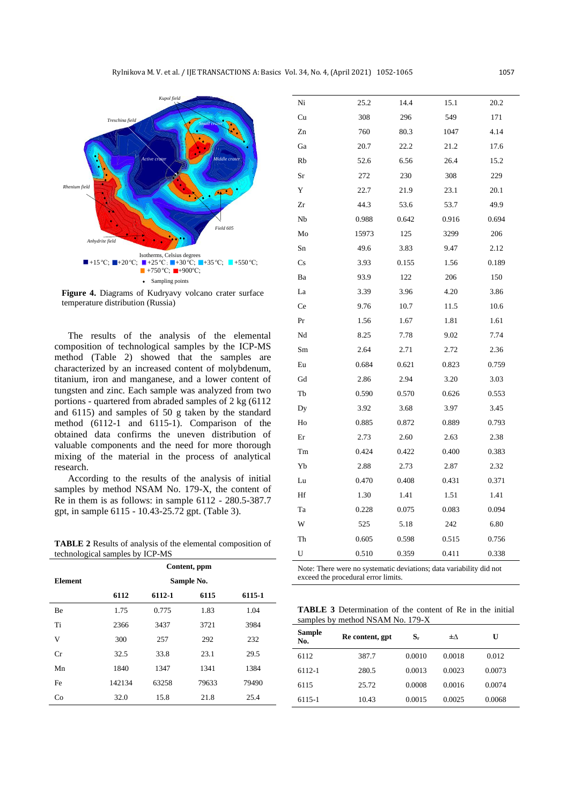

**Figure 4.** Diagrams of Kudryavy volcano crater surface temperature distribution (Russia)

The results of the analysis of the elemental composition of technological samples by the ICP-MS method (Table 2) showed that the samples are characterized by an increased content of molybdenum, titanium, iron and manganese, and a lower content of tungsten and zinc. Each sample was analyzed from two portions - quartered from abraded samples of 2 kg (6112 and 6115) and samples of 50 g taken by the standard method (6112-1 and 6115-1). Comparison of the obtained data confirms the uneven distribution of valuable components and the need for more thorough mixing of the material in the process of analytical research.

According to the results of the analysis of initial samples by method NSAM No. 179-X, the content of Re in them is as follows: in sample 6112 - 280.5-387.7 gpt, in sample 6115 - 10.43-25.72 gpt. (Table 3).

**TABLE 2** Results of analysis of the elemental composition of technological samples by ICP-MS

|                | Content, ppm<br>Sample No. |        |       |        |  |  |
|----------------|----------------------------|--------|-------|--------|--|--|
| <b>Element</b> |                            |        |       |        |  |  |
|                | 6112                       | 6112-1 | 6115  | 6115-1 |  |  |
| Be             | 1.75                       | 0.775  | 1.83  | 1.04   |  |  |
| Ti             | 2366                       | 3437   | 3721  | 3984   |  |  |
| V              | 300                        | 257    | 292   | 232    |  |  |
| Cr             | 32.5                       | 33.8   | 23.1  | 29.5   |  |  |
| Mn             | 1840                       | 1347   | 1341  | 1384   |  |  |
| Fe             | 142134                     | 63258  | 79633 | 79490  |  |  |
| Co             | 32.0                       | 15.8   | 21.8  | 25.4   |  |  |
|                |                            |        |       |        |  |  |

| Ni                                                                  | 25.2  | 14.4  | 15.1  | 20.2  |  |
|---------------------------------------------------------------------|-------|-------|-------|-------|--|
| Cu                                                                  | 308   | 296   | 549   | 171   |  |
| Zn                                                                  | 760   | 80.3  | 1047  | 4.14  |  |
| Ga                                                                  | 20.7  | 22.2  | 21.2  | 17.6  |  |
| Rb                                                                  | 52.6  | 6.56  | 26.4  | 15.2  |  |
| Sr                                                                  | 272   | 230   | 308   | 229   |  |
| Y                                                                   | 22.7  | 21.9  | 23.1  | 20.1  |  |
| Zr                                                                  | 44.3  | 53.6  | 53.7  | 49.9  |  |
| Nb                                                                  | 0.988 | 0.642 | 0.916 | 0.694 |  |
| Mo                                                                  | 15973 | 125   | 3299  | 206   |  |
| Sn                                                                  | 49.6  | 3.83  | 9.47  | 2.12  |  |
| Cs                                                                  | 3.93  | 0.155 | 1.56  | 0.189 |  |
| Ba                                                                  | 93.9  | 122   | 206   | 150   |  |
| La                                                                  | 3.39  | 3.96  | 4.20  | 3.86  |  |
| Ce                                                                  | 9.76  | 10.7  | 11.5  | 10.6  |  |
| Pr                                                                  | 1.56  | 1.67  | 1.81  | 1.61  |  |
| Nd                                                                  | 8.25  | 7.78  | 9.02  | 7.74  |  |
| Sm                                                                  | 2.64  | 2.71  | 2.72  | 2.36  |  |
| Eu                                                                  | 0.684 | 0.621 | 0.823 | 0.759 |  |
| Gd                                                                  | 2.86  | 2.94  | 3.20  | 3.03  |  |
| Tb                                                                  | 0.590 | 0.570 | 0.626 | 0.553 |  |
| Dy                                                                  | 3.92  | 3.68  | 3.97  | 3.45  |  |
| Ho                                                                  | 0.885 | 0.872 | 0.889 | 0.793 |  |
| Er                                                                  | 2.73  | 2.60  | 2.63  | 2.38  |  |
| Tm                                                                  | 0.424 | 0.422 | 0.400 | 0.383 |  |
| Yb                                                                  | 2.88  | 2.73  | 2.87  | 2.32  |  |
| Lu                                                                  | 0.470 | 0.408 | 0.431 | 0.371 |  |
| Hf                                                                  | 1.30  | 1.41  | 1.51  | 1.41  |  |
| Ta                                                                  | 0.228 | 0.075 | 0.083 | 0.094 |  |
| W                                                                   | 525   | 5.18  | 242   | 6.80  |  |
| Th                                                                  | 0.605 | 0.598 | 0.515 | 0.756 |  |
| U                                                                   | 0.510 | 0.359 | 0.411 | 0.338 |  |
| Note: There were no systematic deviations; data variability did not |       |       |       |       |  |

exceed the procedural error limits.

**TABLE 3** Determination of the content of Re in the initial samples by method NSAM No. 179-X

| <b>Sample</b><br>No. | Re content, gpt | $S_r$  | ±Λ     | U      |
|----------------------|-----------------|--------|--------|--------|
| 6112                 | 387.7           | 0.0010 | 0.0018 | 0.012  |
| 6112-1               | 280.5           | 0.0013 | 0.0023 | 0.0073 |
| 6115                 | 25.72           | 0.0008 | 0.0016 | 0.0074 |
| 6115-1               | 10.43           | 0.0015 | 0.0025 | 0.0068 |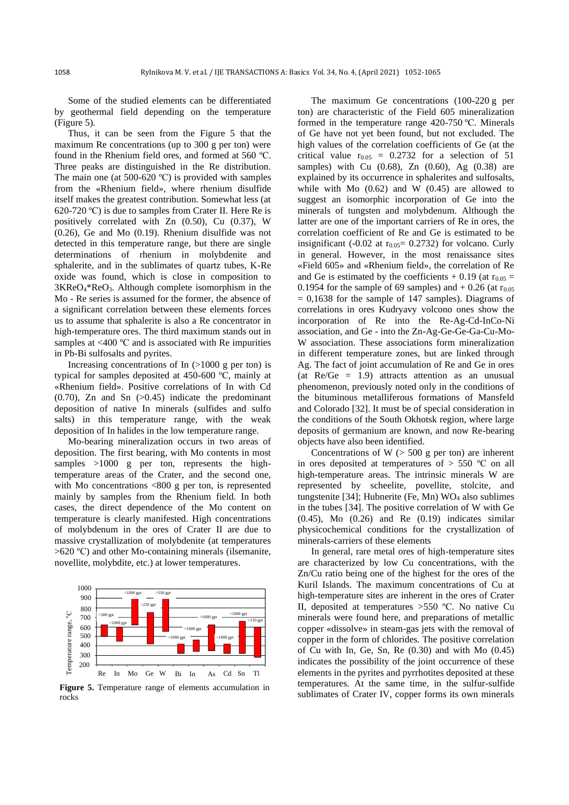Some of the studied elements can be differentiated by geothermal field depending on the temperature (Figure 5).

Thus, it can be seen from the Figure 5 that the maximum Re concentrations (up to 300 g per ton) were found in the Rhenium field ores, and formed at 560 ºС. Three peaks are distinguished in the Re distribution. The main one (at 500-620 °C) is provided with samples from the «Rhenium field», where rhenium disulfide itself makes the greatest contribution. Somewhat less (at 620-720 ºС) is due to samples from Crater II. Here Re is positively correlated with Zn (0.50), Cu (0.37), W (0.26), Ge and Mo (0.19). Rhenium disulfide was not detected in this temperature range, but there are single determinations of rhenium in molybdenite and sphalerite, and in the sublimates of quartz tubes, K-Re oxide was found, which is close in composition to 3KReO4\*ReO3. Although complete isomorphism in the Mo - Re series is assumed for the former, the absence of a significant correlation between these elements forces us to assume that sphalerite is also a Re concentrator in high-temperature ores. The third maximum stands out in samples at <400 °C and is associated with Re impurities in Pb-Bi sulfosalts and pyrites.

Increasing concentrations of In  $(>1000 \text{ g per ton})$  is typical for samples deposited at 450-600 ºС, mainly at «Rhenium field». Positive correlations of In with Cd  $(0.70)$ , Zn and Sn  $(>0.45)$  indicate the predominant deposition of native In minerals (sulfides and sulfo salts) in this temperature range, with the weak deposition of In halides in the low temperature range.

Mo-bearing mineralization occurs in two areas of deposition. The first bearing, with Mo contents in most samples >1000 g per ton, represents the hightemperature areas of the Crater, and the second one, with Mo concentrations <800 g per ton, is represented mainly by samples from the Rhenium field. In both cases, the direct dependence of the Mo content on temperature is clearly manifested. High concentrations of molybdenum in the ores of Crater II are due to massive crystallization of molybdenite (at temperatures  $>620$  °C) and other Mo-containing minerals (ilsemanite, novellite, molybdite, etc.) at lower temperatures.



rocks

The maximum Ge concentrations (100-220 g per ton) are characteristic of the Field 605 mineralization formed in the temperature range 420-750 °C. Minerals of Ge have not yet been found, but not excluded. The high values of the correlation coefficients of Ge (at the critical value  $r_{0.05} = 0.2732$  for a selection of 51 samples) with Cu (0.68), Zn (0.60), Ag (0.38) are explained by its occurrence in sphalerites and sulfosalts, while with  $Mo(0.62)$  and  $W(0.45)$  are allowed to suggest an isomorphic incorporation of Ge into the minerals of tungsten and molybdenum. Although the latter are one of the important carriers of Re in ores, the correlation coefficient of Re and Ge is estimated to be insignificant (-0.02 at  $r_{0.05} = 0.2732$ ) for volcano. Curly in general. However, in the most renaissance sites «Field 605» and «Rhenium field», the correlation of Re and Ge is estimated by the coefficients  $+ 0.19$  (at r<sub>0.05</sub> = 0.1954 for the sample of 69 samples) and  $+$  0.26 (at  $r_{0.05}$ )  $= 0.1638$  for the sample of 147 samples). Diagrams of correlations in ores Kudryavy volcono ones show the incorporation of Re into the Re-Ag-Cd-InCo-Ni association, and Ge - into the Zn-Ag-Ge-Ge-Ga-Cu-Mo-W association. These associations form mineralization in different temperature zones, but are linked through Ag. The fact of joint accumulation of Re and Ge in ores (at Re/Ge = 1.9) attracts attention as an unusual phenomenon, previously noted only in the conditions of the bituminous metalliferous formations of Mansfeld and Colorado [32]. It must be of special consideration in the conditions of the South Okhotsk region, where large deposits of germanium are known, and now Re-bearing objects have also been identified.

Concentrations of  $W$  ( $> 500$  g per ton) are inherent in ores deposited at temperatures of  $> 550$  °C on all high-temperature areas. The intrinsic minerals W are represented by scheelite, povellite, stolcite, and tungstenite  $[34]$ ; Hubnerite (Fe, Mn) WO<sub>4</sub> also sublimes in the tubes [34]. The positive correlation of W with Ge  $(0.45)$ , Mo  $(0.26)$  and Re  $(0.19)$  indicates similar physicochemical conditions for the crystallization of minerals-carriers of these elements

In general, rare metal ores of high-temperature sites are characterized by low Cu concentrations, with the Zn/Cu ratio being one of the highest for the ores of the Kuril Islands. The maximum concentrations of Cu at high-temperature sites are inherent in the ores of Crater II, deposited at temperatures >550 ºС. No native Cu minerals were found here, and preparations of metallic copper «dissolve» in steam-gas jets with the removal of copper in the form of chlorides. The positive correlation of Cu with In, Ge, Sn, Re (0.30) and with Mo (0.45) indicates the possibility of the joint occurrence of these elements in the pyrites and pyrrhotites deposited at these temperatures. At the same time, in the sulfur-sulfide sublimates of Crater IV, copper forms its own minerals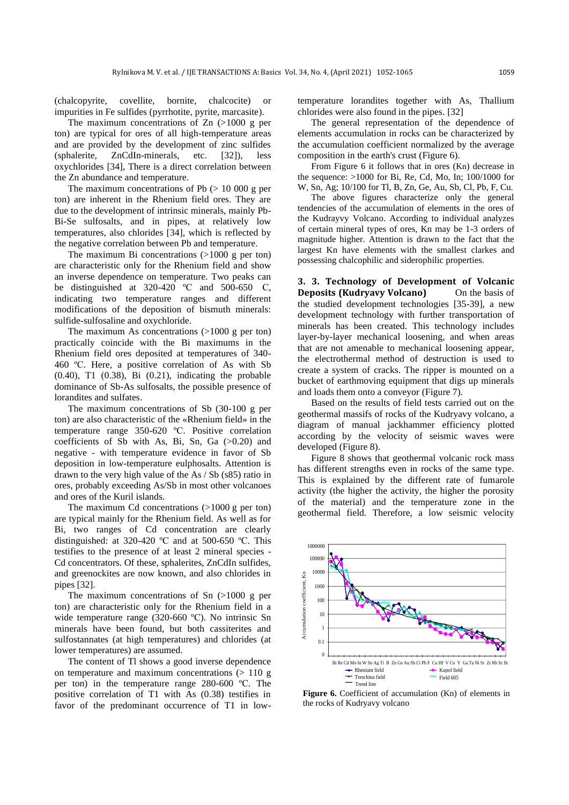(chalcopyrite, covellite, bornite, chalcocite) or impurities in Fe sulfides (pyrrhotite, pyrite, marcasite).

The maximum concentrations of  $Zn$  ( $>1000$  g per ton) are typical for ores of all high-temperature areas and are provided by the development of zinc sulfides (sphalerite, ZnCdIn-minerals, etc. [32]), less oxychlorides [34], There is a direct correlation between the Zn abundance and temperature.

The maximum concentrations of Pb  $(> 10 000 g$  per ton) are inherent in the Rhenium field ores. They are due to the development of intrinsic minerals, mainly Pb-Bi-Se sulfosalts, and in pipes, at relatively low temperatures, also chlorides [34], which is reflected by the negative correlation between Pb and temperature.

The maximum Bi concentrations (>1000 g per ton) are characteristic only for the Rhenium field and show an inverse dependence on temperature. Two peaks can be distinguished at  $320-420$  °C and  $500-650$  C, indicating two temperature ranges and different modifications of the deposition of bismuth minerals: sulfide-sulfosaline and oxychloride.

The maximum As concentrations  $(>1000 \text{ g per ton})$ practically coincide with the Bi maximums in the Rhenium field ores deposited at temperatures of 340- 460 ºС. Here, a positive correlation of As with Sb (0.40), T1 (0.38), Bi (0.21), indicating the probable dominance of Sb-As sulfosalts, the possible presence of lorandites and sulfates.

The maximum concentrations of Sb (30-100 g per ton) are also characteristic of the «Rhenium field» in the temperature range 350-620 ºС. Positive correlation coefficients of Sb with As, Bi, Sn, Ga  $(>0.20)$  and negative - with temperature evidence in favor of Sb deposition in low-temperature eulphosalts. Attention is drawn to the very high value of the As / Sb (s85) ratio in ores, probably exceeding As/Sb in most other volcanoes and ores of the Kuril islands.

The maximum Cd concentrations  $(>1000 \text{ g per ton})$ are typical mainly for the Rhenium field. As well as for Bi, two ranges of Cd concentration are clearly distinguished: at 320-420 ºС and at 500-650 ºС. This testifies to the presence of at least 2 mineral species - Cd concentrators. Of these, sphalerites, ZnCdIn sulfides, and greenockites are now known, and also chlorides in pipes [32].

The maximum concentrations of Sn  $(>1000 \text{ g per})$ ton) are characteristic only for the Rhenium field in a wide temperature range (320-660 °C). No intrinsic Sn minerals have been found, but both cassiterites and sulfostannates (at high temperatures) and chlorides (at lower temperatures) are assumed.

The content of Tl shows a good inverse dependence on temperature and maximum concentrations  $(> 110 \text{ g})$ per ton) in the temperature range 280-600 ºС. The positive correlation of T1 with As (0.38) testifies in favor of the predominant occurrence of T1 in lowtemperature lorandites together with As, Thallium chlorides were also found in the pipes. [32]

The general representation of the dependence of elements accumulation in rocks can be characterized by the accumulation coefficient normalized by the average composition in the earth's crust (Figure 6).

From Figure 6 it follows that in ores (Kn) decrease in the sequence:  $>1000$  for Bi, Re, Cd, Mo, In; 100/1000 for W, Sn, Ag; 10/100 for Tl, B, Zn, Ge, Au, Sb, Cl, Pb, F, Cu.

The above figures characterize only the general tendencies of the accumulation of elements in the ores of the Kudrayvy Volcano. According to individual analyzes of certain mineral types of ores, Kn may be 1-3 orders of magnitude higher. Attention is drawn to the fact that the largest Kn have elements with the smallest clarkes and possessing chalcophilic and siderophilic properties.

**3. 3. Technology of Development of Volcanic Deposits (Kudryavy Volcano)** On the basis of the studied development technologies [35-39], a new development technology with further transportation of minerals has been created. This technology includes layer-by-layer mechanical loosening, and when areas that are not amenable to mechanical loosening appear, the electrothermal method of destruction is used to create a system of cracks. The ripper is mounted on a bucket of earthmoving equipment that digs up minerals and loads them onto a conveyor (Figure 7).

Based on the results of field tests carried out on the geothermal massifs of rocks of the Kudryavy volcano, a diagram of manual jackhammer efficiency plotted according by the velocity of seismic waves were developed (Figure 8).

Figure 8 shows that geothermal volcanic rock mass has different strengths even in rocks of the same type. This is explained by the different rate of fumarole activity (the higher the activity, the higher the porosity of the material) and the temperature zone in the geothermal field. Therefore, a low seismic velocity



Figure 6. Coefficient of accumulation (Kn) of elements in the rocks of Kudryavy volcano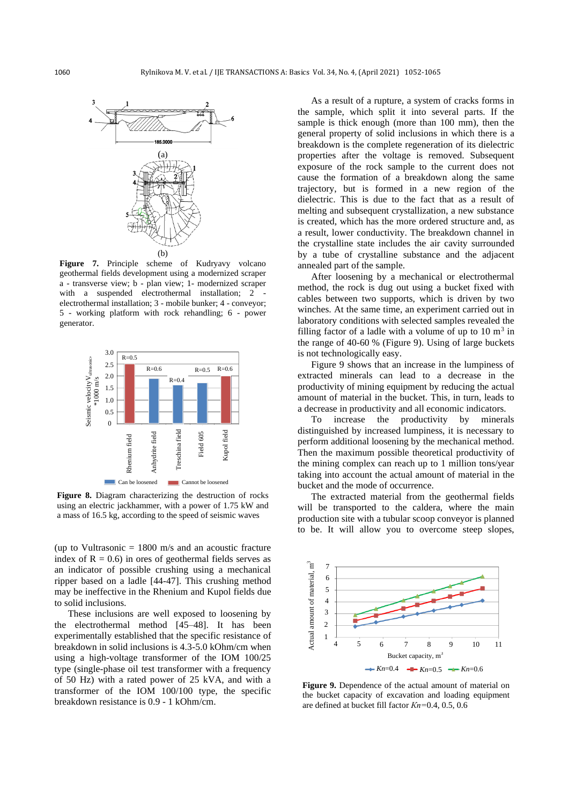

Figure 7. Principle scheme of Kudryavy volcano geothermal fields development using a modernized scraper a - transverse view; b - plan view; 1- modernized scraper with a suspended electrothermal installation; 2 electrothermal installation; 3 - mobile bunker; 4 - conveyor; 5 - working platform with rock rehandling; 6 - power generator.



**Figure 8.** Diagram characterizing the destruction of rocks using an electric jackhammer, with a power of 1.75 kW and a mass of 16.5 kg, according to the speed of seismic waves

(up to Vultrasonic  $= 1800$  m/s and an acoustic fracture index of  $R = 0.6$ ) in ores of geothermal fields serves as an indicator of possible crushing using a mechanical ripper based on a ladle [44-47]. This crushing method may be ineffective in the Rhenium and Kupol fields due to solid inclusions.

These inclusions are well exposed to loosening by the electrothermal method [45–48]. It has been experimentally established that the specific resistance of breakdown in solid inclusions is 4.3-5.0 kOhm/cm when using a high-voltage transformer of the IOM 100/25 type (single-phase oil test transformer with a frequency of 50 Hz) with a rated power of 25 kVA, and with a transformer of the IOM 100/100 type, the specific breakdown resistance is 0.9 - 1 kOhm/cm.

As a result of a rupture, a system of cracks forms in the sample, which split it into several parts. If the sample is thick enough (more than 100 mm), then the general property of solid inclusions in which there is a breakdown is the complete regeneration of its dielectric properties after the voltage is removed. Subsequent exposure of the rock sample to the current does not cause the formation of a breakdown along the same trajectory, but is formed in a new region of the dielectric. This is due to the fact that as a result of melting and subsequent crystallization, a new substance is created, which has the more ordered structure and, as a result, lower conductivity. The breakdown channel in the crystalline state includes the air cavity surrounded by a tube of crystalline substance and the adjacent annealed part of the sample.

After loosening by a mechanical or electrothermal method, the rock is dug out using a bucket fixed with cables between two supports, which is driven by two winches. At the same time, an experiment carried out in laboratory conditions with selected samples revealed the filling factor of a ladle with a volume of up to  $10 \text{ m}^3$  in the range of 40-60 % (Figure 9). Using of large buckets is not technologically easy.

Figure 9 shows that an increase in the lumpiness of extracted minerals can lead to a decrease in the productivity of mining equipment by reducing the actual amount of material in the bucket. This, in turn, leads to a decrease in productivity and all economic indicators.

To increase the productivity by minerals distinguished by increased lumpiness, it is necessary to perform additional loosening by the mechanical method. Then the maximum possible theoretical productivity of the mining complex can reach up to 1 million tons/year taking into account the actual amount of material in the bucket and the mode of occurrence.

The extracted material from the geothermal fields will be transported to the caldera, where the main production site with a tubular scoop conveyor is planned to be. It will allow you to overcome steep slopes,



**Figure 9.** Dependence of the actual amount of material on the bucket capacity of excavation and loading equipment are defined at bucket fill factor *Кn=*0.4, 0.5, 0.6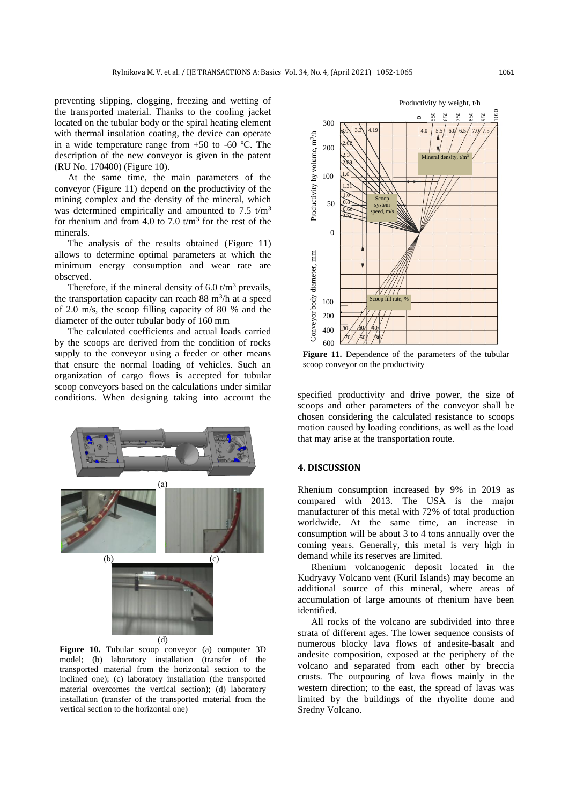preventing slipping, clogging, freezing and wetting of the transported material. Thanks to the cooling jacket located on the tubular body or the spiral heating element with thermal insulation coating, the device can operate in a wide temperature range from  $+50$  to  $-60$  °C. The description of the new conveyor is given in the patent (RU No. 170400) (Figure 10).

At the same time, the main parameters of the conveyor (Figure 11) depend on the productivity of the mining complex and the density of the mineral, which was determined empirically and amounted to 7.5  $t/m<sup>3</sup>$ for rhenium and from 4.0 to 7.0  $t/m<sup>3</sup>$  for the rest of the minerals.

The analysis of the results obtained (Figure 11) allows to determine optimal parameters at which the minimum energy consumption and wear rate are observed.

Therefore, if the mineral density of 6.0  $t/m<sup>3</sup>$  prevails, the transportation capacity can reach  $88 \text{ m}^3/\text{h}$  at a speed of 2.0 m/s, the scoop filling capacity of 80 % and the diameter of the outer tubular body of 160 mm

The calculated coefficients and actual loads carried by the scoops are derived from the condition of rocks supply to the conveyor using a feeder or other means that ensure the normal loading of vehicles. Such an organization of cargo flows is accepted for tubular scoop conveyors based on the calculations under similar conditions. When designing taking into account the



**Figure 10.** Tubular scoop conveyor (a) computer 3D model; (b) laboratory installation (transfer of the transported material from the horizontal section to the inclined one); (c) laboratory installation (the transported material overcomes the vertical section); (d) laboratory installation (transfer of the transported material from the vertical section to the horizontal one)



Figure 11. Dependence of the parameters of the tubular scoop conveyor on the productivity

specified productivity and drive power, the size of scoops and other parameters of the conveyor shall be chosen considering the calculated resistance to scoops motion caused by loading conditions, as well as the load that may arise at the transportation route.

### **4. DISCUSSION**

Rhenium consumption increased by 9% in 2019 as compared with 2013. The USA is the major manufacturer of this metal with 72% of total production worldwide. At the same time, an increase in consumption will be about 3 to 4 tons annually over the coming years. Generally, this metal is very high in demand while its reserves are limited.

Rhenium volcanogenic deposit located in the Kudryavy Volcano vent (Kuril Islands) may become an additional source of this mineral, where areas of accumulation of large amounts of rhenium have been identified.

All rocks of the volcano are subdivided into three strata of different ages. The lower sequence consists of numerous blocky lava flows of andesite-basalt and andesite composition, exposed at the periphery of the volcano and separated from each other by breccia crusts. The outpouring of lava flows mainly in the western direction; to the east, the spread of lavas was limited by the buildings of the rhyolite dome and Sredny Volcano.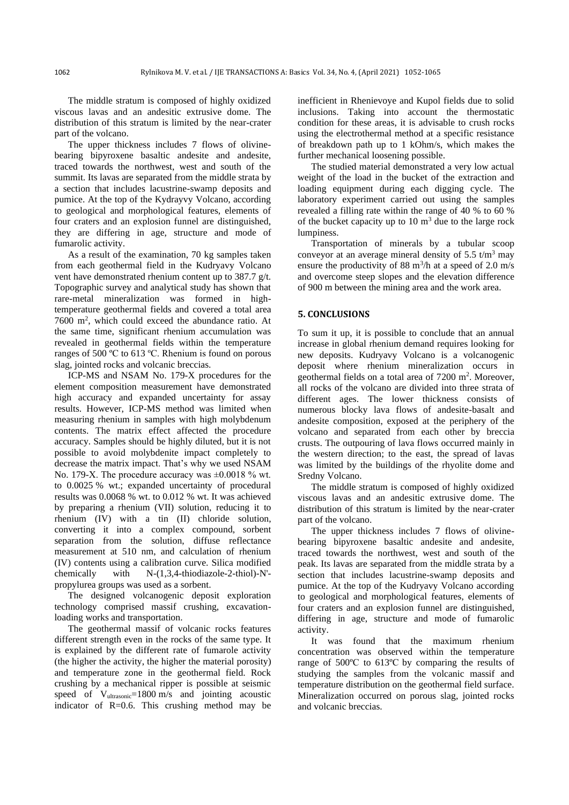The middle stratum is composed of highly oxidized viscous lavas and an andesitic extrusive dome. The distribution of this stratum is limited by the near-crater part of the volcano.

The upper thickness includes 7 flows of olivinebearing bipyroxene basaltic andesite and andesite, traced towards the northwest, west and south of the summit. Its lavas are separated from the middle strata by a section that includes lacustrine-swamp deposits and pumice. At the top of the Kydrayvy Volcano, according to geological and morphological features, elements of four craters and an explosion funnel are distinguished, they are differing in age, structure and mode of fumarolic activity.

As a result of the examination, 70 kg samples taken from each geothermal field in the Kudryavy Volcano vent have demonstrated rhenium content up to 387.7 g/t. Topographic survey and analytical study has shown that rare-metal mineralization was formed in hightemperature geothermal fields and covered a total area 7600 m<sup>2</sup> , which could exceed the abundance ratio. At the same time, significant rhenium accumulation was revealed in geothermal fields within the temperature ranges of 500 ºС to 613 ºС. Rhenium is found on porous slag, jointed rocks and volcanic breccias.

ICP-MS and NSAM No. 179-X procedures for the element composition measurement have demonstrated high accuracy and expanded uncertainty for assay results. However, ICP-MS method was limited when measuring rhenium in samples with high molybdenum contents. The matrix effect affected the procedure accuracy. Samples should be highly diluted, but it is not possible to avoid molybdenite impact completely to decrease the matrix impact. That's why we used NSAM No. 179-Х. The procedure accuracy was ±0.0018 % wt. to 0.0025 % wt.; expanded uncertainty of procedural results was 0.0068 % wt. to 0.012 % wt. It was achieved by preparing a rhenium (VII) solution, reducing it to rhenium (IV) with a tin (II) chloride solution, converting it into a complex compound, sorbent separation from the solution, diffuse reflectance measurement at 510 nm, and calculation of rhenium (IV) contents using a calibration curve. Silica modified chemically with N-(1,3,4-thiodiazole-2-thiol)-N' propylurea groups was used as a sorbent.

The designed volcanogenic deposit exploration technology comprised massif crushing, excavationloading works and transportation.

The geothermal massif of volcanic rocks features different strength even in the rocks of the same type. It is explained by the different rate of fumarole activity (the higher the activity, the higher the material porosity) and temperature zone in the geothermal field. Rock crushing by a mechanical ripper is possible at seismic speed of  $V_{\text{ultrasonic}} = 1800 \text{ m/s}$  and jointing acoustic indicator of R=0.6. This crushing method may be inefficient in Rhenievoye and Kupol fields due to solid inclusions. Taking into account the thermostatic condition for these areas, it is advisable to crush rocks using the electrothermal method at a specific resistance of breakdown path up to 1 kOhm/s, which makes the further mechanical loosening possible.

The studied material demonstrated a very low actual weight of the load in the bucket of the extraction and loading equipment during each digging cycle. The laboratory experiment carried out using the samples revealed a filling rate within the range of 40 % to 60 % of the bucket capacity up to 10  $\text{m}^3$  due to the large rock lumpiness.

Transportation of minerals by a tubular scoop conveyor at an average mineral density of 5.5  $t/m<sup>3</sup>$  may ensure the productivity of 88  $\text{m}^3/\text{h}$  at a speed of 2.0 m/s and overcome steep slopes and the elevation difference of 900 m between the mining area and the work area.

#### **5. CONCLUSIONS**

To sum it up, it is possible to conclude that an annual increase in global rhenium demand requires looking for new deposits. Kudryavy Volcano is a volcanogenic deposit where rhenium mineralization occurs in geothermal fields on a total area of 7200 m<sup>2</sup>. Moreover, all rocks of the volcano are divided into three strata of different ages. The lower thickness consists of numerous blocky lava flows of andesite-basalt and andesite composition, exposed at the periphery of the volcano and separated from each other by breccia crusts. The outpouring of lava flows occurred mainly in the western direction; to the east, the spread of lavas was limited by the buildings of the rhyolite dome and Sredny Volcano.

The middle stratum is composed of highly oxidized viscous lavas and an andesitic extrusive dome. The distribution of this stratum is limited by the near-crater part of the volcano.

The upper thickness includes 7 flows of olivinebearing bipyroxene basaltic andesite and andesite, traced towards the northwest, west and south of the peak. Its lavas are separated from the middle strata by a section that includes lacustrine-swamp deposits and pumice. At the top of the Kudryavy Volcano according to geological and morphological features, elements of four craters and an explosion funnel are distinguished, differing in age, structure and mode of fumarolic activity.

It was found that the maximum rhenium concentration was observed within the temperature range of 500ºС to 613ºС by comparing the results of studying the samples from the volcanic massif and temperature distribution on the geothermal field surface. Mineralization occurred on porous slag, jointed rocks and volcanic breccias.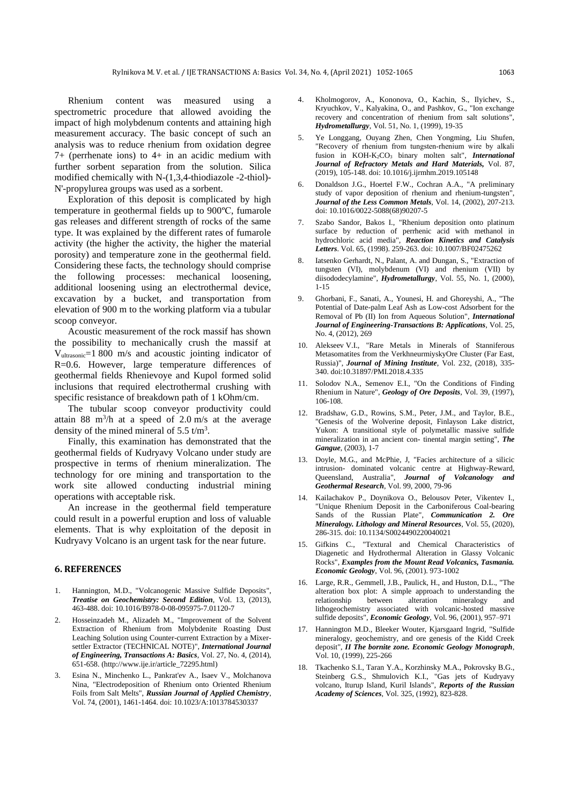Rhenium content was measured using a spectrometric procedure that allowed avoiding the impact of high molybdenum contents and attaining high measurement accuracy. The basic concept of such an analysis was to reduce rhenium from oxidation degree 7+ (perrhenate ions) to 4+ in an acidic medium with further sorbent separation from the solution. Silica modified chemically with N-(1,3,4-thiodiazole -2-thiol)- N'-propylurea groups was used as a sorbent.

Exploration of this deposit is complicated by high temperature in geothermal fields up to 900ºС, fumarole gas releases and different strength of rocks of the same type. It was explained by the different rates of fumarole activity (the higher the activity, the higher the material porosity) and temperature zone in the geothermal field. Considering these facts, the technology should comprise the following processes: mechanical loosening, additional loosening using an electrothermal device, excavation by a bucket, and transportation from elevation of 900 m to the working platform via a tubular scoop conveyor.

Acoustic measurement of the rock massif has shown the possibility to mechanically crush the massif at  $V<sub>ultrasonic</sub> = 1800$  m/s and acoustic jointing indicator of R=0.6. However, large temperature differences of geothermal fields Rhenievoye and Kupol formed solid inclusions that required electrothermal crushing with specific resistance of breakdown path of 1 kOhm/cm.

The tubular scoop conveyor productivity could attain 88 m<sup>3</sup>/h at a speed of 2.0 m/s at the average density of the mined mineral of  $5.5 \text{ t/m}^3$ .

Finally, this examination has demonstrated that the geothermal fields of Kudryavy Volcano under study are prospective in terms of rhenium mineralization. The technology for ore mining and transportation to the work site allowed conducting industrial mining operations with acceptable risk.

An increase in the geothermal field temperature could result in a powerful eruption and loss of valuable elements. That is why exploitation of the deposit in Kudryavy Volcano is an urgent task for the near future.

#### **6. REFERENCES**

- 1. Hannington, M.D., "Volcanogenic Massive Sulfide Deposits", *Treatise on Geochemistry: Second Edition*, Vol. 13, (2013), 463-488. doi: 10.1016/B978-0-08-095975-7.01120-7
- 2. Hosseinzadeh M., Alizadeh M., "Improvement of the Solvent Extraction of Rhenium from Molybdenite Roasting Dust Leaching Solution using Counter-current Extraction by a Mixersettler Extractor (TECHNICAL NOTE)", *International Journal of Engineering, Transactions A: Basics*, Vol. 27, No. 4, (2014), 651-658. [\(http://www.ije.ir/article\\_72295.html\)](http://www.ije.ir/article_72295.html)
- 3. Esina N., Minchenko L., Pankrat'ev A., Isaev V., Molchanova Nina, "Electrodeposition of Rhenium onto Oriented Rhenium Foils from Salt Melts", *Russian Journal of Applied Chemistry*, Vol. 74, (2001), 1461-1464. doi: 10.1023/A:1013784530337
- 4. Kholmogorov, A., Kononova, O., Kachin, S., Ilyichev, S., Kryuchkov, V., Kalyakina, O., and Pashkov, G., "Ion exchange recovery and concentration of rhenium from salt solutions", *Hydrometallurgy*, Vol. 51, No. 1, (1999), 19-35
- 5. Ye Longgang, Ouyang Zhen, Chen Yongming, Liu Shufen, "Recovery of rhenium from tungsten-rhenium wire by alkali fusion in KOH-K<sub>2</sub>CO<sub>3</sub> binary molten salt", *International Journal of Refractory Metals and Hard Materials,* Vol. 87, (2019), 105-148. doi: 10.1016/j.ijrmhm.2019.105148
- 6. Donaldson J.G., Hoertel F.W., Cochran A.A., "A preliminary study of vapor deposition of rhenium and rhenium-tungsten", *Journal of the Less Common Metals*, Vol. 14, (2002), 207-213. doi: 10.1016/0022-5088(68)90207-5
- Szabo Sandor, Bakos I., "Rhenium deposition onto platinum surface by reduction of perrhenic acid with methanol in hydrochloric acid media", *Reaction Kinetics and Catalysis Letters*. Vol. 65, (1998). 259-263. doi: 10.1007/BF02475262
- Iatsenko Gerhardt, N., Palant, A. and Dungan, S., "Extraction of tungsten (VI), molybdenum (VI) and rhenium (VII) by diisododecylamine", *Hydrometallurgy*, Vol. 55, No. 1, (2000), 1-15
- 9. Ghorbani, F., Sanati, A., Younesi, H. and Ghoreyshi, A., "The Potential of Date-palm Leaf Ash as Low-cost Adsorbent for the Removal of Pb (II) Ion from Aqueous Solution", *International Journal of Engineering-Transactions B: Applications*, Vol. 25, No. 4, (2012), 269
- 10. Alekseev V.I., "Rare Metals in Minerals of Stanniferous Metasomatites from the VerkhneurmiyskyOre Cluster (Far East, Russia)", *Journal of Mining Institute*, Vol. 232, (2018), 335- 340. doi:10.31897/PMI.2018.4.335
- 11. Solodov N.A., Semenov E.I., "On the Conditions of Finding Rhenium in Nature", *Geology of Ore Deposits*, Vol. 39, (1997), 106-108.
- 12. Bradshaw, G.D., Rowins, S.M., Peter, J.M., and Taylor, B.E., "Genesis of the Wolverine deposit, Finlayson Lake district, Yukon: A transitional style of polymetallic massive sulfide mineralization in an ancient con- tinental margin setting", *The Gangue*, (2003), 1-7
- 13. Doyle, M.G., and McPhie, J, "Facies architecture of a silicic intrusion- dominated volcanic centre at Highway-Reward, Queensland, Australia", *Journal of Volcanology and Geothermal Research*, Vol. 99, 2000, 79-96
- 14. Kailachakov P., Doynikova O., Belousov Peter, Vikentev I., "Unique Rhenium Deposit in the Carboniferous Coal-bearing Sands of the Russian Plate", *Communication 2. Ore Mineralogy. Lithology and Mineral Resources*, Vol. 55, (2020), 286-315. doi: 10.1134/S0024490220040021
- 15. Gifkins C., "Textural and Chemical Characteristics of Diagenetic and Hydrothermal Alteration in Glassy Volcanic Rocks", *Examples from the Mount Read Volcanics, Tasmania. Economic Geology*, Vol. 96, (2001). 973-1002
- 16. Large, R.R., Gemmell, J.B., Paulick, H., and Huston, D.L., "The alteration box plot: A simple approach to understanding the relationship between alteration mineralogy and lithogeochemistry associated with volcanic-hosted massive sulfide deposits", *Economic Geology*, Vol. 96, (2001), 957–971
- 17. Hannington M.D., Bleeker Wouter, Kjarsgaard Ingrid, "Sulfide mineralogy, geochemistry, and ore genesis of the Kidd Creek deposit", *II The bornite zone. Economic Geology Monograph*, Vol. 10, (1999), 225-266
- 18. Tkachenko S.I., Taran Y.A., Korzhinsky M.A., Pokrovsky B.G., Steinberg G.S., Shmulovich K.I., "Gas jets of Kudryavy volcano, Iturup Island, Kuril Islands", *Reports of the Russian Academy of Sciences*, Vol. 325, (1992), 823-828.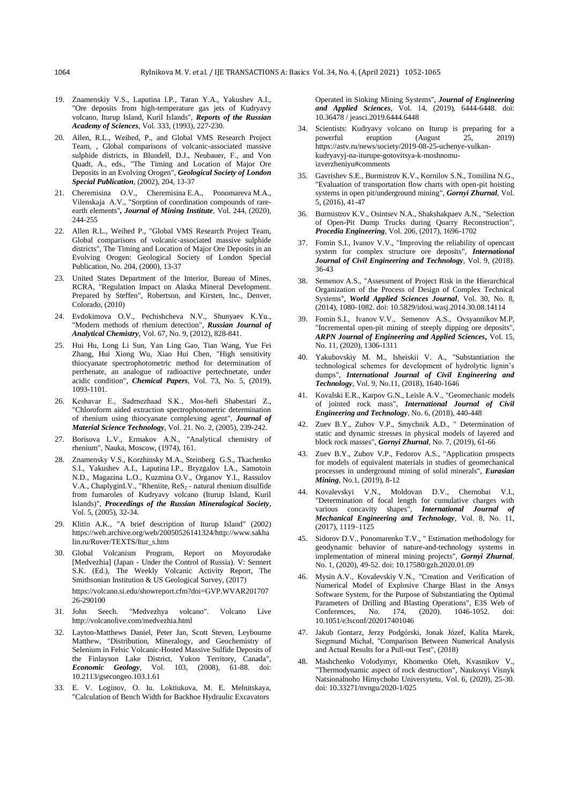- 19. Znamenskiy V.S., Laputina I.P., Taran Y.A., Yakushev A.I., "Ore deposits from high-temperature gas jets of Kudryavy volcano, Iturup Island, Kuril Islands", *Reports of the Russian Academy of Sciences*, Vol. 333, (1993), 227-230.
- 20. Allen, R.L., Weihed, P., and Global VMS Research Project Team, , Global comparisons of volcanic-associated massive sulphide districts, in Blundell, D.J., Neubauer, F., and Von Quadt, A., eds., "The Timing and Location of Major Ore Deposits in an Evolving Orogen", *Geological Society of London Special Publication*, (2002), 204, 13-37
- 21. Cheremisina O.V., Cheremisina E.A., Ponomareva M.A., Vilenskaja A.V., "Sorption of coordination compounds of rareearth elements"*, Journal of Mining Institute*, Vol. 244, (2020), 244-255
- 22. Allen R.L., Weihed P., "Global VMS Research Project Team, Global comparisons of volcanic-associated massive sulphide districts", The Timing and Location of Major Ore Deposits in an Evolving Orogen: Geological Society of London Special Publication, No. 204, (2000), 13-37
- 23. United States Department of the Interior, Bureau of Mines, RCRA, "Regulation Impact on Alaska Mineral Development. Prepared by Steffen", Robertson, and Kirsten, Inc., Denver, Colorado, (2010)
- 24. Evdokimova O.V., Pechishcheva N.V., Shunyaev K.Yu., "Modern methods of rhenium detection", *Russian Journal of Analytical Chemistry*, Vol. 67, No. 9, (2012), 828-841.
- 25. Hui Hu, Long Li Sun, Yan Ling Gao, Tian Wang, Yue Fei Zhang, Hui Xiong Wu, Xiao Hui Chen, "High sensitivity thiocyanate spectrophotometric method for determination of perrhenate, an analogue of radioactive pertechnetate, under acidic condition", *Chemical Papers*, Vol. 73, No. 5, (2019), 1093-1101.
- 26. Keshavar Е., Sadrnezhaad S.K., Mos-hefi Shabestari Z., "Chloroform aided extraction spectrophotometric determination of rhenium using thiocyanate complexing agent", *Journal of Material Science Technology*, Vol. 21. No. 2, (2005), 239-242.
- 27. Borisova L.V., Ermakov A.N., "Analytical chemistry of rhenium", Nauka, Moscow, (1974), 161.
- 28. Znamensky V.S., Korzhinsky M.A., Steinberg G.S., Tkachenko S.I., Yakushev A.I., Laputina I.P., Bryzgalov I.A., Samotoin N.D., Magazina L.O., Kuzmina O.V., Organov Y.I., Rassulov V.A., ChaplyginI.V., "Rheniite, ReS<sub>2</sub> - natural rhenium disulfide from fumaroles of Kudryavy volcano (Iturup Island, Kuril Islands)", *Proceedings of the Russian Mineralogical Society*, Vol. 5, (2005), 32-34.
- 29. Klitin A.K., "A brief description of Iturup Island" (2002) https://web.archive.org/web/20050526141324/http://www.sakha lin.ru/Rover/TEXTS/Itur\_s.htm
- 30. Global Volcanism Program, Report on Moyorodake [Medvezhia] (Japan - Under the Control of Russia). V: Sennert S.K. (Ed.), The Weekly Volcanic Activity Report, The Smithsonian Institution & US Geological Survey, (2017) [https://volcano.si.edu/showreport.cfm?doi=GVP.WVAR201707](https://volcano.si.edu/showreport.cfm?doi=GVP.WVAR20170726-290100) [26-290100](https://volcano.si.edu/showreport.cfm?doi=GVP.WVAR20170726-290100)
- 31. John Seech. "Medvezhya volcano". Volcano Live <http://volcanolive.com/medvezhia.html>
- 32. Layton-Matthews Daniel, Peter Jan, Scott Steven, Leybourne Matthew, "Distribution, Mineralogy, and Geochemistry of Selenium in Felsic Volcanic-Hosted Massive Sulfide Deposits of the Finlayson Lake District, Yukon Territory, Canada", *Economic Geology*, Vol. 103, (2008), 61-88. doi: 10.2113/gsecongeo.103.1.61
- 33. E. V. Loginov, O. Iu. Loktiukova, M. E. Melnitskaya, "Calculation of Bench Width for Backhoe Hydraulic Excavators

Operated in Sinking Mining Systems", *Journal of Engineering and Applied Sciences*, Vol. 14, (2019), 6444-6448. doi: 10.36478 / jeasci.2019.6444.6448

- 34. Scientists: Kudryavy volcano on Iturup is preparing for a powerful eruption (August 25, 2019) powerful eruption (August 25, [https://astv.ru/news/society/2019-08-25-uchenye-vulkan](https://astv.ru/news/society/2019-08-25-uchenye-vulkan-kudryavyj-na-iturupe-gotovitsya-k-moshnomu-izverzheniyu#comments)[kudryavyj-na-iturupe-gotovitsya-k-moshnomu](https://astv.ru/news/society/2019-08-25-uchenye-vulkan-kudryavyj-na-iturupe-gotovitsya-k-moshnomu-izverzheniyu#comments)[izverzheniyu#comments](https://astv.ru/news/society/2019-08-25-uchenye-vulkan-kudryavyj-na-iturupe-gotovitsya-k-moshnomu-izverzheniyu#comments)
- 35. Gavrishev S.E., Burmistrov K.V., Kornilov S.N., Tomilina N.G., "Evaluation of transportation flow charts with open-pit hoisting systems in open pit/underground mining", *Gornyi Zhurnal*, Vol. 5, (2016), 41-47
- 36. Burmistrov K.V., Osintsev N.A., Shakshakpaev A.N., "Selection of Open-Pit Dump Trucks during Quarry Reconstruction", *Procedia Engineering*, Vol. 206, (2017), 1696-1702
- 37. Fomin S.I., Ivanov V.V., "Improving the reliability of opencast system for complex structure ore deposits", *International Journal of Civil Engineering and Technology*, Vol. 9, (2018). 36-43
- 38. Semenov A.S., "Assessment of Project Risk in the Hierarchical Organization of the Process of Design of Complex Technical Systems", *World Applied Sciences Journal*, Vol. 30, No. 8, (2014), 1080-1082. doi: 10.5829/idosi.wasj.2014.30.08.14114
- 39. Fomin S.I., Ivanov V.V., Semenov A.S., Ovsyannikov M.P, "Incremental open-pit mining of steeply dipping ore deposits", *ARPN Journal of Engineering and Applied Sciences,* Vol. 15, No. 11, (2020), 1306-1311
- 40. Yakubovskiy M. M., Isheiskii V. A., "Substantiation the technological schemes for development of hydrolytic lignin's dumps", *International Journal of Civil Engineering and Technology*, Vol. 9, No.11, (2018), 1640-1646
- 41. Kovalski E.R., Karpov G.N., Leisle A.V., "Geomechanic models of jointed rock mass", *International Journal of Civil Engineering and Technology*, No. 6, (2018), 440-448
- 42. Zuev B.Y., Zubov V.P., Smychnik A.D., " Determination of static and dynamic stresses in physical models of layered and block rock masses", *Gornyi Zhurnal*, No. 7, (2019), 61-66
- 43. Zuev B.Y., Zubov V.P., Fedorov A.S., "Application prospects for models of equivalent materials in studies of geomechanical processes in underground mining of solid minerals", *Eurasian Mining*, No.1, (2019), 8-12
- 44. Kovalevskyi V.N., Moldovan D.V., Chernobai V.I., "Determination of focal length for cumulative charges with various concavity shapes", *International Journal of Mechanical Engineering and Technology*, Vol. 8, No. 11, (2017), 1119–1125
- 45. Sidorov D.V., Ponomarenko T.V., " Estimation methodology for geodynamic behavior of nature-and-technology systems in implementation of mineral mining projects", *Gornyi Zhurnal*, No. 1, (2020), 49-52. doi: 10.17580/gzh.2020.01.09
- 46. Mysin A.V., Kovalevskiy V.N., "Creation and Verification of Numerical Model of Explosive Charge Blast in the Ansys Software System, for the Purpose of Substantiating the Optimal Parameters of Drilling and Blasting Operations", E3S Web of Conferences, No. 174, (2020). 1046-1052. doi:  $174, \quad (2020).$ 10.1051/e3sconf/202017401046
- 47. Jakub Gontarz, Jerzy Podgórski, Jonak Józef, Kalita Marek, Siegmund Michał, "Comparison Between Numerical Analysis and Actual Results for a Pull-out Test", (2018)
- 48. Mashchenko Volodymyr, Khomenko Oleh, Kvasnikov V., "Thermodynamic aspect of rock destruction", Naukovyi Visnyk Natsionalnoho Hirnychoho Universytetu, Vol. 6, (2020), 25-30. doi: 10.33271/nvngu/2020-1/025